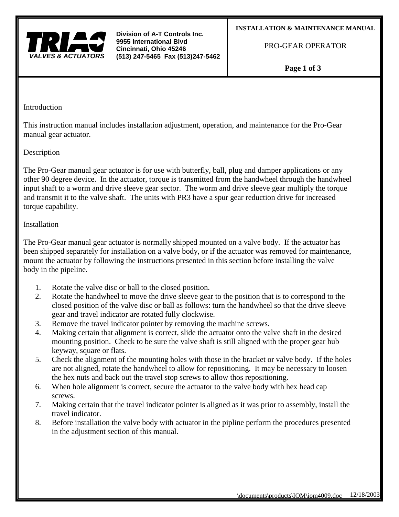

**Division of A-T Controls Inc. 9955 International Blvd Cincinnati, Ohio 45246 (513) 247-5465 Fax (513)247-5462**

PRO-GEAR OPERATOR

**Page 1 of 3**

**Introduction** 

This instruction manual includes installation adjustment, operation, and maintenance for the Pro-Gear manual gear actuator.

## Description

The Pro-Gear manual gear actuator is for use with butterfly, ball, plug and damper applications or any other 90 degree device. In the actuator, torque is transmitted from the handwheel through the handwheel input shaft to a worm and drive sleeve gear sector. The worm and drive sleeve gear multiply the torque and transmit it to the valve shaft. The units with PR3 have a spur gear reduction drive for increased torque capability.

# Installation

The Pro-Gear manual gear actuator is normally shipped mounted on a valve body. If the actuator has been shipped separately for installation on a valve body, or if the actuator was removed for maintenance, mount the actuator by following the instructions presented in this section before installing the valve body in the pipeline.

- 1. Rotate the valve disc or ball to the closed position.
- 2. Rotate the handwheel to move the drive sleeve gear to the position that is to correspond to the closed position of the valve disc or ball as follows: turn the handwheel so that the drive sleeve gear and travel indicator are rotated fully clockwise.
- 3. Remove the travel indicator pointer by removing the machine screws.
- 4. Making certain that alignment is correct, slide the actuator onto the valve shaft in the desired mounting position. Check to be sure the valve shaft is still aligned with the proper gear hub keyway, square or flats.
- 5. Check the alignment of the mounting holes with those in the bracket or valve body. If the holes are not aligned, rotate the handwheel to allow for repositioning. It may be necessary to loosen the hex nuts and back out the travel stop screws to allow thos repositioning.
- 6. When hole alignment is correct, secure the actuator to the valve body with hex head cap screws.
- 7. Making certain that the travel indicator pointer is aligned as it was prior to assembly, install the travel indicator.
- 8. Before installation the valve body with actuator in the pipline perform the procedures presented in the adjustment section of this manual.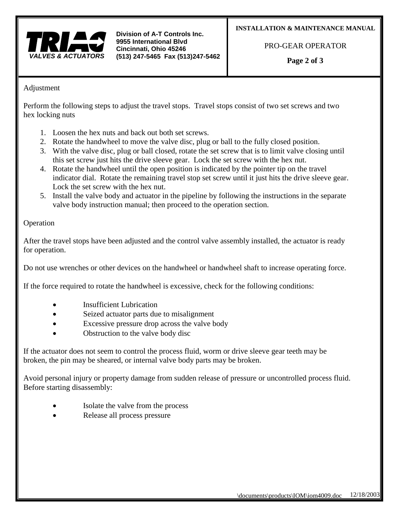

**Division of A-T Controls Inc. 9955 International Blvd Cincinnati, Ohio 45246 (513) 247-5465 Fax (513)247-5462**

#### **INSTALLATION & MAINTENANCE MANUAL**

PRO-GEAR OPERATOR

**Page 2 of 3**

### Adjustment

Perform the following steps to adjust the travel stops. Travel stops consist of two set screws and two hex locking nuts

- 1. Loosen the hex nuts and back out both set screws.
- 2. Rotate the handwheel to move the valve disc, plug or ball to the fully closed position.
- 3. With the valve disc, plug or ball closed, rotate the set screw that is to limit valve closing until this set screw just hits the drive sleeve gear. Lock the set screw with the hex nut.
- 4. Rotate the handwheel until the open position is indicated by the pointer tip on the travel indicator dial. Rotate the remaining travel stop set screw until it just hits the drive sleeve gear. Lock the set screw with the hex nut.
- 5. Install the valve body and actuator in the pipeline by following the instructions in the separate valve body instruction manual; then proceed to the operation section.

### Operation

After the travel stops have been adjusted and the control valve assembly installed, the actuator is ready for operation.

Do not use wrenches or other devices on the handwheel or handwheel shaft to increase operating force.

If the force required to rotate the handwheel is excessive, check for the following conditions:

- **Insufficient Lubrication**
- Seized actuator parts due to misalignment
- Excessive pressure drop across the valve body
- Obstruction to the valve body disc

If the actuator does not seem to control the process fluid, worm or drive sleeve gear teeth may be broken, the pin may be sheared, or internal valve body parts may be broken.

Avoid personal injury or property damage from sudden release of pressure or uncontrolled process fluid. Before starting disassembly:

- Isolate the valve from the process
- Release all process pressure